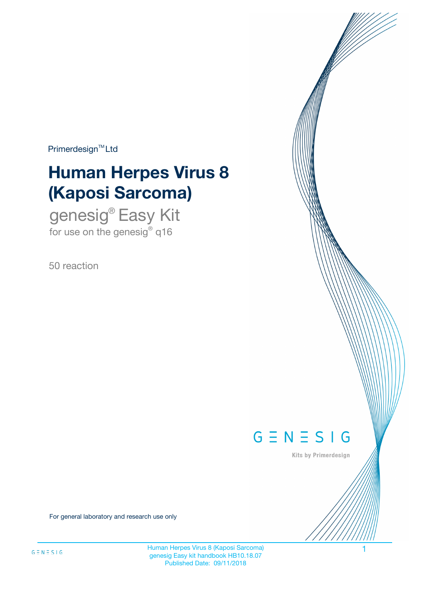$Primerdesign^{\text{TM}}Ltd$ 

# **Human Herpes Virus 8 (Kaposi Sarcoma)**

genesig® Easy Kit for use on the genesig $^{\circ}$  q16

50 reaction



Kits by Primerdesign

For general laboratory and research use only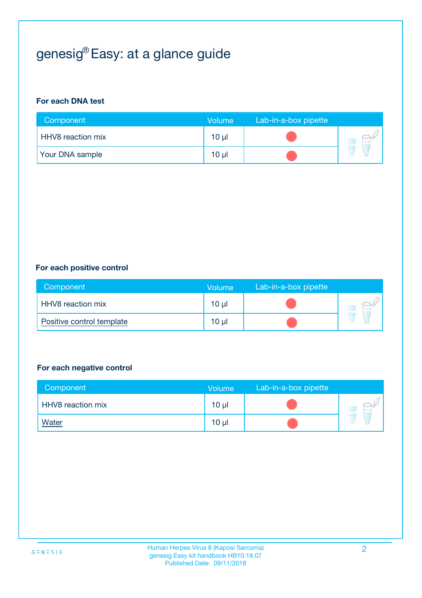## genesig® Easy: at a glance guide

#### **For each DNA test**

| Component                | <b>Volume</b> | Lab-in-a-box pipette |  |
|--------------------------|---------------|----------------------|--|
| <b>HHV8</b> reaction mix | $10 \mu$      |                      |  |
| <b>Your DNA sample</b>   | $10 \mu$      |                      |  |

#### **For each positive control**

| Component                 | Volume          | Lab-in-a-box pipette |  |
|---------------------------|-----------------|----------------------|--|
| HHV8 reaction mix         | 10 <sub>µ</sub> |                      |  |
| Positive control template | 10 <sub>µ</sub> |                      |  |

#### **For each negative control**

| Component         | <b>Volume</b>   | Lab-in-a-box pipette |  |
|-------------------|-----------------|----------------------|--|
| HHV8 reaction mix | 10 <sub>µ</sub> |                      |  |
| <u>Water</u>      | 10 <sub>µ</sub> |                      |  |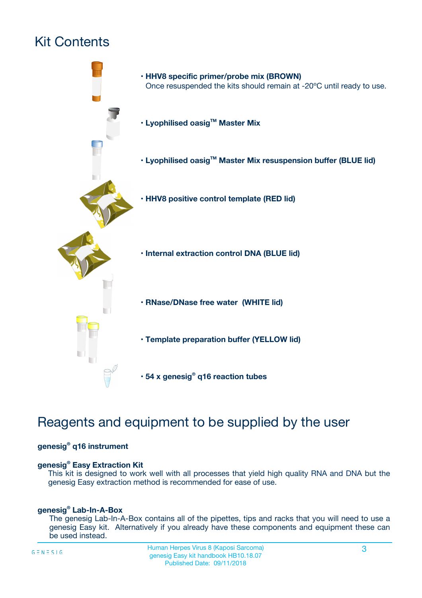## Kit Contents



### Reagents and equipment to be supplied by the user

#### **genesig® q16 instrument**

#### **genesig® Easy Extraction Kit**

This kit is designed to work well with all processes that yield high quality RNA and DNA but the genesig Easy extraction method is recommended for ease of use.

#### **genesig® Lab-In-A-Box**

The genesig Lab-In-A-Box contains all of the pipettes, tips and racks that you will need to use a genesig Easy kit. Alternatively if you already have these components and equipment these can be used instead.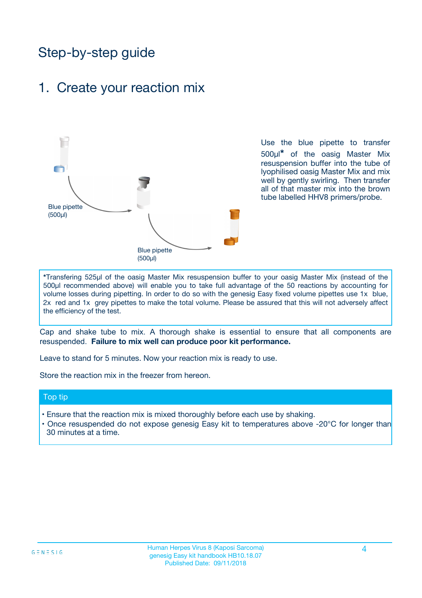### Step-by-step guide

### 1. Create your reaction mix



Use the blue pipette to transfer 500µl**\*** of the oasig Master Mix resuspension buffer into the tube of lyophilised oasig Master Mix and mix well by gently swirling. Then transfer all of that master mix into the brown tube labelled HHV8 primers/probe.

**\***Transfering 525µl of the oasig Master Mix resuspension buffer to your oasig Master Mix (instead of the 500µl recommended above) will enable you to take full advantage of the 50 reactions by accounting for volume losses during pipetting. In order to do so with the genesig Easy fixed volume pipettes use 1x blue, 2x red and 1x grey pipettes to make the total volume. Please be assured that this will not adversely affect the efficiency of the test.

Cap and shake tube to mix. A thorough shake is essential to ensure that all components are resuspended. **Failure to mix well can produce poor kit performance.**

Leave to stand for 5 minutes. Now your reaction mix is ready to use.

Store the reaction mix in the freezer from hereon.

#### Top tip

- Ensure that the reaction mix is mixed thoroughly before each use by shaking.
- **•** Once resuspended do not expose genesig Easy kit to temperatures above -20°C for longer than 30 minutes at a time.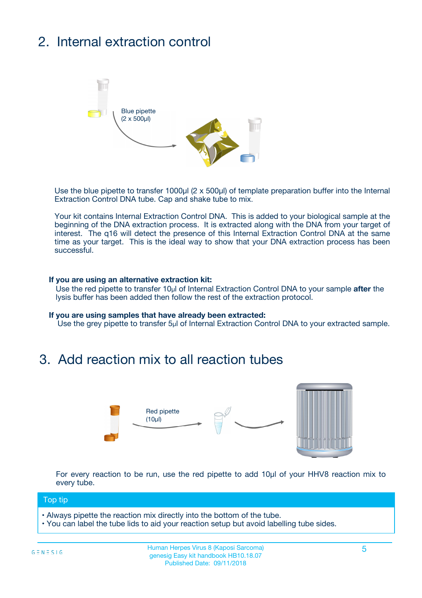## 2. Internal extraction control



Use the blue pipette to transfer 1000µl (2 x 500µl) of template preparation buffer into the Internal Extraction Control DNA tube. Cap and shake tube to mix.

Your kit contains Internal Extraction Control DNA. This is added to your biological sample at the beginning of the DNA extraction process. It is extracted along with the DNA from your target of interest. The q16 will detect the presence of this Internal Extraction Control DNA at the same time as your target. This is the ideal way to show that your DNA extraction process has been successful.

#### **If you are using an alternative extraction kit:**

Use the red pipette to transfer 10µl of Internal Extraction Control DNA to your sample **after** the lysis buffer has been added then follow the rest of the extraction protocol.

#### **If you are using samples that have already been extracted:**

Use the grey pipette to transfer 5µl of Internal Extraction Control DNA to your extracted sample.

### 3. Add reaction mix to all reaction tubes



For every reaction to be run, use the red pipette to add 10µl of your HHV8 reaction mix to every tube.

#### Top tip

- Always pipette the reaction mix directly into the bottom of the tube.
- You can label the tube lids to aid your reaction setup but avoid labelling tube sides.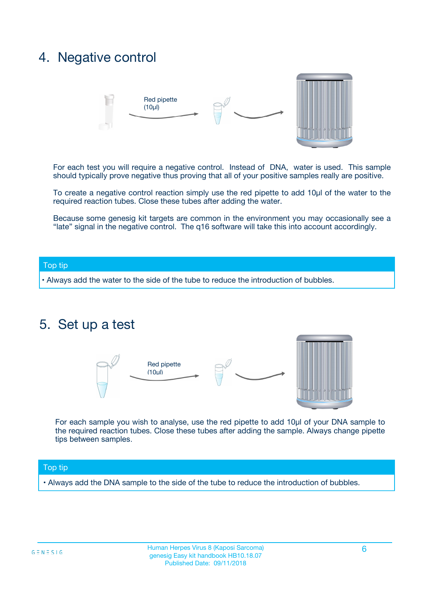### 4. Negative control



For each test you will require a negative control. Instead of DNA, water is used. This sample should typically prove negative thus proving that all of your positive samples really are positive.

To create a negative control reaction simply use the red pipette to add 10µl of the water to the required reaction tubes. Close these tubes after adding the water.

Because some genesig kit targets are common in the environment you may occasionally see a "late" signal in the negative control. The q16 software will take this into account accordingly.

#### Top tip

**•** Always add the water to the side of the tube to reduce the introduction of bubbles.

### 5. Set up a test



For each sample you wish to analyse, use the red pipette to add 10µl of your DNA sample to the required reaction tubes. Close these tubes after adding the sample. Always change pipette tips between samples.

#### Top tip

**•** Always add the DNA sample to the side of the tube to reduce the introduction of bubbles.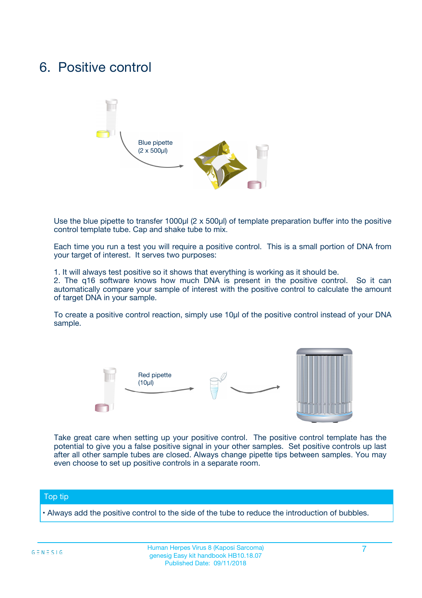### 6. Positive control



Use the blue pipette to transfer 1000µl (2 x 500µl) of template preparation buffer into the positive control template tube. Cap and shake tube to mix.

Each time you run a test you will require a positive control. This is a small portion of DNA from your target of interest. It serves two purposes:

1. It will always test positive so it shows that everything is working as it should be.

2. The q16 software knows how much DNA is present in the positive control. So it can automatically compare your sample of interest with the positive control to calculate the amount of target DNA in your sample.

To create a positive control reaction, simply use 10µl of the positive control instead of your DNA sample.



Take great care when setting up your positive control. The positive control template has the potential to give you a false positive signal in your other samples. Set positive controls up last after all other sample tubes are closed. Always change pipette tips between samples. You may even choose to set up positive controls in a separate room.

#### Top tip

**•** Always add the positive control to the side of the tube to reduce the introduction of bubbles.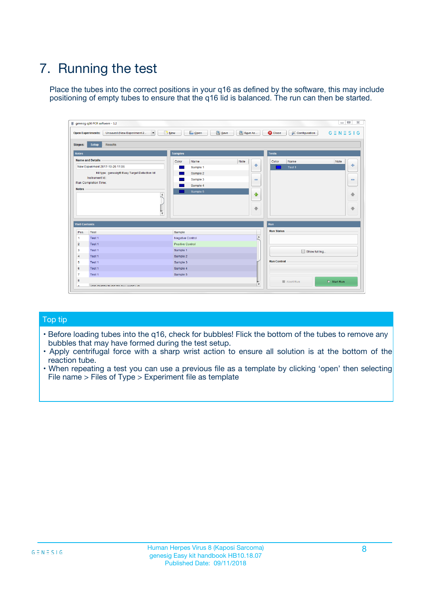## 7. Running the test

Place the tubes into the correct positions in your q16 as defined by the software, this may include positioning of empty tubes to ensure that the q16 lid is balanced. The run can then be started.

|                      | genesig q16 PCR software - 1.2                                               |                                |                              |                                          | $\begin{array}{c c c c} \hline \multicolumn{3}{c }{\textbf{0}} & \multicolumn{3}{c }{\textbf{0}} \end{array}$<br>$\Sigma\!3$ |
|----------------------|------------------------------------------------------------------------------|--------------------------------|------------------------------|------------------------------------------|------------------------------------------------------------------------------------------------------------------------------|
|                      | $\vert \cdot \vert$<br><b>Open Experiments:</b><br>Unsaved (New Experiment 2 | Open<br>Save<br>$\sqrt{9}$ New | Save As                      | <b>C</b> Close<br><b>X</b> Configuration | $G \equiv N \equiv S \mid G$                                                                                                 |
| <b>Stages:</b>       | Setup<br><b>Results</b>                                                      |                                |                              |                                          |                                                                                                                              |
| <b>Notes</b>         |                                                                              | <b>Samples</b>                 |                              | <b>Tests</b>                             |                                                                                                                              |
|                      | <b>Name and Details</b>                                                      | Color<br>Name                  | Note                         | Color<br>Name                            | Note                                                                                                                         |
|                      | New Experiment 2017-10-26 11:06                                              | Sample 1                       | ÷                            | Test 1                                   | ÷                                                                                                                            |
|                      | Kit type: genesig® Easy Target Detection kit                                 | Sample 2                       |                              |                                          |                                                                                                                              |
|                      | Instrument Id.:                                                              | Sample 3                       | $\qquad \qquad \blacksquare$ |                                          | $\qquad \qquad \blacksquare$                                                                                                 |
|                      | <b>Run Completion Time:</b>                                                  | Sample 4                       |                              |                                          |                                                                                                                              |
| <b>Notes</b>         | <b>A</b><br>v                                                                | Sample 5                       | $\triangle$<br>$\oplus$      |                                          | 4<br>₩                                                                                                                       |
| <b>Well Contents</b> |                                                                              |                                |                              | Run                                      |                                                                                                                              |
| Pos.                 | Test                                                                         | Sample                         |                              | <b>Run Status</b>                        |                                                                                                                              |
| $\overline{1}$       | Test 1                                                                       | <b>Negative Control</b>        | $\blacktriangle$             |                                          |                                                                                                                              |
| $\overline{2}$       | Test 1                                                                       | <b>Positive Control</b>        |                              |                                          |                                                                                                                              |
| 3                    | Test 1                                                                       | Sample 1                       |                              | Show full log                            |                                                                                                                              |
| $\overline{4}$       | Test 1                                                                       | Sample 2                       |                              |                                          |                                                                                                                              |
| 5                    | Test 1                                                                       | Sample 3                       |                              | <b>Run Control</b>                       |                                                                                                                              |
| 6                    | Test 1                                                                       | Sample 4                       |                              |                                          |                                                                                                                              |
| $\overline{7}$       | Test 1                                                                       | Sample 5                       |                              |                                          |                                                                                                                              |
| -8                   |                                                                              |                                |                              | Abort Run                                | $\triangleright$ Start Run                                                                                                   |
|                      | <b>JOB FURTY TURE TO BULLMAR LIB</b>                                         |                                | $\overline{\mathbf{v}}$      |                                          |                                                                                                                              |

#### Top tip

- Before loading tubes into the q16, check for bubbles! Flick the bottom of the tubes to remove any bubbles that may have formed during the test setup.
- Apply centrifugal force with a sharp wrist action to ensure all solution is at the bottom of the reaction tube.
- When repeating a test you can use a previous file as a template by clicking 'open' then selecting File name > Files of Type > Experiment file as template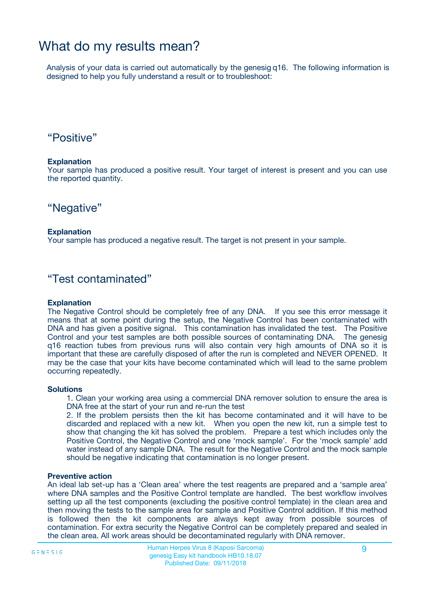### What do my results mean?

Analysis of your data is carried out automatically by the genesig q16. The following information is designed to help you fully understand a result or to troubleshoot:

### "Positive"

#### **Explanation**

Your sample has produced a positive result. Your target of interest is present and you can use the reported quantity.

"Negative"

#### **Explanation**

Your sample has produced a negative result. The target is not present in your sample.

### "Test contaminated"

#### **Explanation**

The Negative Control should be completely free of any DNA. If you see this error message it means that at some point during the setup, the Negative Control has been contaminated with DNA and has given a positive signal. This contamination has invalidated the test. The Positive Control and your test samples are both possible sources of contaminating DNA. The genesig q16 reaction tubes from previous runs will also contain very high amounts of DNA so it is important that these are carefully disposed of after the run is completed and NEVER OPENED. It may be the case that your kits have become contaminated which will lead to the same problem occurring repeatedly.

#### **Solutions**

1. Clean your working area using a commercial DNA remover solution to ensure the area is DNA free at the start of your run and re-run the test

2. If the problem persists then the kit has become contaminated and it will have to be discarded and replaced with a new kit. When you open the new kit, run a simple test to show that changing the kit has solved the problem. Prepare a test which includes only the Positive Control, the Negative Control and one 'mock sample'. For the 'mock sample' add water instead of any sample DNA. The result for the Negative Control and the mock sample should be negative indicating that contamination is no longer present.

#### **Preventive action**

An ideal lab set-up has a 'Clean area' where the test reagents are prepared and a 'sample area' where DNA samples and the Positive Control template are handled. The best workflow involves setting up all the test components (excluding the positive control template) in the clean area and then moving the tests to the sample area for sample and Positive Control addition. If this method is followed then the kit components are always kept away from possible sources of contamination. For extra security the Negative Control can be completely prepared and sealed in the clean area. All work areas should be decontaminated regularly with DNA remover.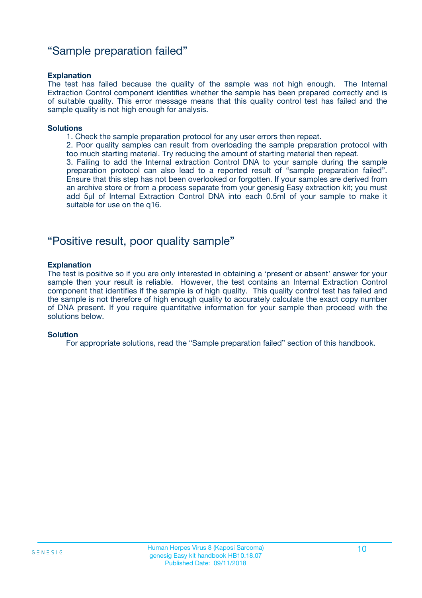### "Sample preparation failed"

#### **Explanation**

The test has failed because the quality of the sample was not high enough. The Internal Extraction Control component identifies whether the sample has been prepared correctly and is of suitable quality. This error message means that this quality control test has failed and the sample quality is not high enough for analysis.

#### **Solutions**

1. Check the sample preparation protocol for any user errors then repeat.

2. Poor quality samples can result from overloading the sample preparation protocol with too much starting material. Try reducing the amount of starting material then repeat.

3. Failing to add the Internal extraction Control DNA to your sample during the sample preparation protocol can also lead to a reported result of "sample preparation failed". Ensure that this step has not been overlooked or forgotten. If your samples are derived from an archive store or from a process separate from your genesig Easy extraction kit; you must add 5µl of Internal Extraction Control DNA into each 0.5ml of your sample to make it suitable for use on the q16.

### "Positive result, poor quality sample"

#### **Explanation**

The test is positive so if you are only interested in obtaining a 'present or absent' answer for your sample then your result is reliable. However, the test contains an Internal Extraction Control component that identifies if the sample is of high quality. This quality control test has failed and the sample is not therefore of high enough quality to accurately calculate the exact copy number of DNA present. If you require quantitative information for your sample then proceed with the solutions below.

#### **Solution**

For appropriate solutions, read the "Sample preparation failed" section of this handbook.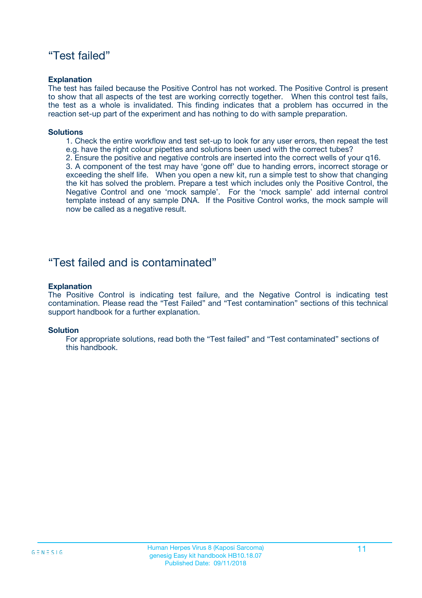### "Test failed"

#### **Explanation**

The test has failed because the Positive Control has not worked. The Positive Control is present to show that all aspects of the test are working correctly together. When this control test fails, the test as a whole is invalidated. This finding indicates that a problem has occurred in the reaction set-up part of the experiment and has nothing to do with sample preparation.

#### **Solutions**

- 1. Check the entire workflow and test set-up to look for any user errors, then repeat the test e.g. have the right colour pipettes and solutions been used with the correct tubes?
- 2. Ensure the positive and negative controls are inserted into the correct wells of your q16.

3. A component of the test may have 'gone off' due to handing errors, incorrect storage or exceeding the shelf life. When you open a new kit, run a simple test to show that changing the kit has solved the problem. Prepare a test which includes only the Positive Control, the Negative Control and one 'mock sample'. For the 'mock sample' add internal control template instead of any sample DNA. If the Positive Control works, the mock sample will now be called as a negative result.

### "Test failed and is contaminated"

#### **Explanation**

The Positive Control is indicating test failure, and the Negative Control is indicating test contamination. Please read the "Test Failed" and "Test contamination" sections of this technical support handbook for a further explanation.

#### **Solution**

For appropriate solutions, read both the "Test failed" and "Test contaminated" sections of this handbook.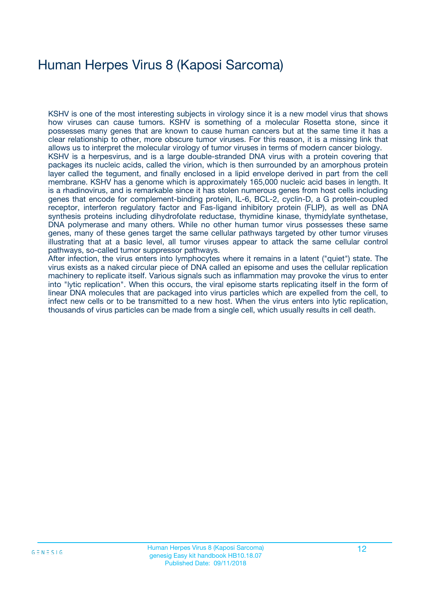## Human Herpes Virus 8 (Kaposi Sarcoma)

KSHV is one of the most interesting subjects in virology since it is a new model virus that shows how viruses can cause tumors. KSHV is something of a molecular Rosetta stone, since it possesses many genes that are known to cause human cancers but at the same time it has a clear relationship to other, more obscure tumor viruses. For this reason, it is a missing link that allows us to interpret the molecular virology of tumor viruses in terms of modern cancer biology. KSHV is a herpesvirus, and is a large double-stranded DNA virus with a protein covering that packages its nucleic acids, called the virion, which is then surrounded by an amorphous protein layer called the tegument, and finally enclosed in a lipid envelope derived in part from the cell membrane. KSHV has a genome which is approximately 165,000 nucleic acid bases in length. It is a rhadinovirus, and is remarkable since it has stolen numerous genes from host cells including genes that encode for complement-binding protein, IL-6, BCL-2, cyclin-D, a G protein-coupled receptor, interferon regulatory factor and Fas-ligand inhibitory protein (FLIP), as well as DNA synthesis proteins including dihydrofolate reductase, thymidine kinase, thymidylate synthetase, DNA polymerase and many others. While no other human tumor virus possesses these same genes, many of these genes target the same cellular pathways targeted by other tumor viruses illustrating that at a basic level, all tumor viruses appear to attack the same cellular control pathways, so-called tumor suppressor pathways.

After infection, the virus enters into lymphocytes where it remains in a latent ("quiet") state. The virus exists as a naked circular piece of DNA called an episome and uses the cellular replication machinery to replicate itself. Various signals such as inflammation may provoke the virus to enter into "lytic replication". When this occurs, the viral episome starts replicating itself in the form of linear DNA molecules that are packaged into virus particles which are expelled from the cell, to infect new cells or to be transmitted to a new host. When the virus enters into lytic replication, thousands of virus particles can be made from a single cell, which usually results in cell death.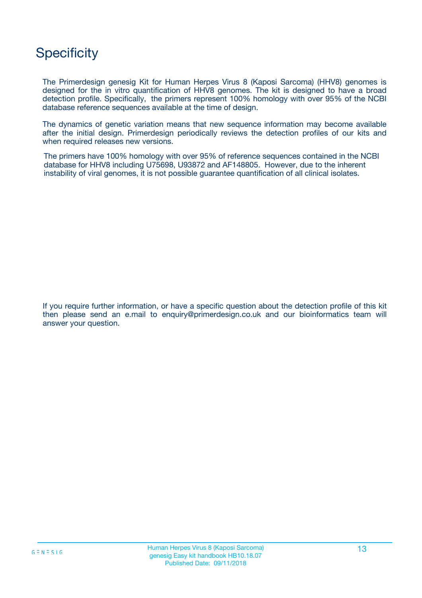### **Specificity**

The Primerdesign genesig Kit for Human Herpes Virus 8 (Kaposi Sarcoma) (HHV8) genomes is designed for the in vitro quantification of HHV8 genomes. The kit is designed to have a broad detection profile. Specifically, the primers represent 100% homology with over 95% of the NCBI database reference sequences available at the time of design.

The dynamics of genetic variation means that new sequence information may become available after the initial design. Primerdesign periodically reviews the detection profiles of our kits and when required releases new versions.

The primers have 100% homology with over 95% of reference sequences contained in the NCBI database for HHV8 including U75698, U93872 and AF148805. However, due to the inherent instability of viral genomes, it is not possible guarantee quantification of all clinical isolates.

If you require further information, or have a specific question about the detection profile of this kit then please send an e.mail to enquiry@primerdesign.co.uk and our bioinformatics team will answer your question.